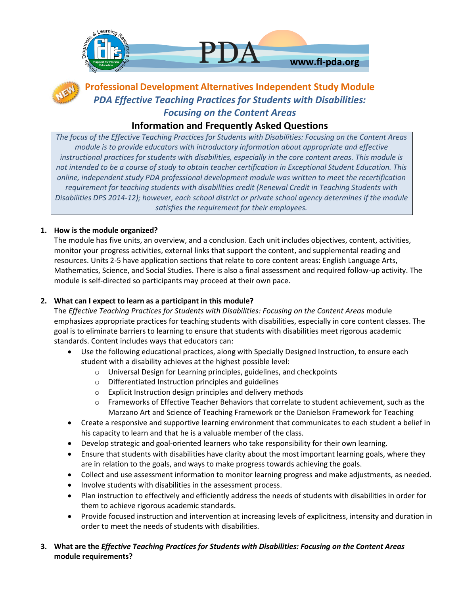



# **Professional Development Alternatives Independent Study Module** *PDA Effective Teaching Practices for Students with Disabilities: Focusing on the Content Areas*

# **Information and Frequently Asked Questions**

*The focus of the Effective Teaching Practices for Students with Disabilities: Focusing on the Content Areas module is to provide educators with introductory information about appropriate and effective instructional practices for students with disabilities, especially in the core content areas. This module is not intended to be a course of study to obtain teacher certification in Exceptional Student Education. This online, independent study PDA professional development module was written to meet the recertification requirement for teaching students with disabilities credit (Renewal Credit in Teaching Students with Disabilities DPS 2014-12); however, each school district or private school agency determines if the module satisfies the requirement for their employees.*

# **1. How is the module organized?**

The module has five units, an overview, and a conclusion. Each unit includes objectives, content, activities, monitor your progress activities, external links that support the content, and supplemental reading and resources. Units 2-5 have application sections that relate to core content areas: English Language Arts, Mathematics, Science, and Social Studies. There is also a final assessment and required follow-up activity. The module is self-directed so participants may proceed at their own pace.

# **2. What can I expect to learn as a participant in this module?**

The *Effective Teaching Practices for Students with Disabilities: Focusing on the Content Areas* module emphasizes appropriate practices for teaching students with disabilities, especially in core content classes. The goal is to eliminate barriers to learning to ensure that students with disabilities meet rigorous academic standards. Content includes ways that educators can:

- Use the following educational practices, along with Specially Designed Instruction, to ensure each student with a disability achieves at the highest possible level:
	- o Universal Design for Learning principles, guidelines, and checkpoints
	- o Differentiated Instruction principles and guidelines
	- o Explicit Instruction design principles and delivery methods
	- o Frameworks of Effective Teacher Behaviors that correlate to student achievement, such as the Marzano Art and Science of Teaching Framework or the Danielson Framework for Teaching
- Create a responsive and supportive learning environment that communicates to each student a belief in his capacity to learn and that he is a valuable member of the class.
- Develop strategic and goal-oriented learners who take responsibility for their own learning.
- Ensure that students with disabilities have clarity about the most important learning goals, where they are in relation to the goals, and ways to make progress towards achieving the goals.
- Collect and use assessment information to monitor learning progress and make adjustments, as needed.
- Involve students with disabilities in the assessment process.
- Plan instruction to effectively and efficiently address the needs of students with disabilities in order for them to achieve rigorous academic standards.
- Provide focused instruction and intervention at increasing levels of explicitness, intensity and duration in order to meet the needs of students with disabilities.
- **3. What are the** *Effective Teaching Practices for Students with Disabilities: Focusing on the Content Areas*  **module requirements?**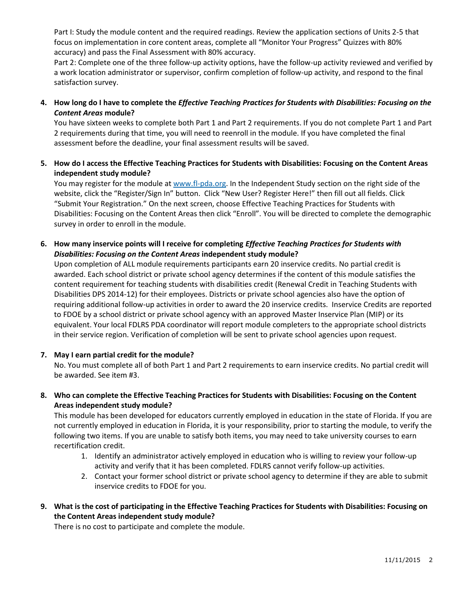Part I: Study the module content and the required readings. Review the application sections of Units 2-5 that focus on implementation in core content areas, complete all "Monitor Your Progress" Quizzes with 80% accuracy) and pass the Final Assessment with 80% accuracy.

Part 2: Complete one of the three follow-up activity options, have the follow-up activity reviewed and verified by a work location administrator or supervisor, confirm completion of follow-up activity, and respond to the final satisfaction survey.

**4. How long do I have to complete the** *Effective Teaching Practices for Students with Disabilities: Focusing on the Content Areas* **module?**

You have sixteen weeks to complete both Part 1 and Part 2 requirements. If you do not complete Part 1 and Part 2 requirements during that time, you will need to reenroll in the module. If you have completed the final assessment before the deadline, your final assessment results will be saved.

**5. How do I access the Effective Teaching Practices for Students with Disabilities: Focusing on the Content Areas independent study module?**

You may register for the module a[t www.fl-pda.org.](file:///C:/Users/18490/Downloads/www.fl-pda.org) In the Independent Study section on the right side of the website, click the "Register/Sign In" button. Click "New User? Register Here!" then fill out all fields. Click "Submit Your Registration." On the next screen, choose Effective Teaching Practices for Students with Disabilities: Focusing on the Content Areas then click "Enroll". You will be directed to complete the demographic survey in order to enroll in the module.

# **6. How many inservice points will I receive for completing** *Effective Teaching Practices for Students with Disabilities: Focusing on the Content Areas* **independent study module?**

Upon completion of ALL module requirements participants earn 20 inservice credits. No partial credit is awarded. Each school district or private school agency determines if the content of this module satisfies the content requirement for teaching students with disabilities credit (Renewal Credit in Teaching Students with Disabilities DPS 2014-12) for their employees. Districts or private school agencies also have the option of requiring additional follow-up activities in order to award the 20 inservice credits. Inservice Credits are reported to FDOE by a school district or private school agency with an approved Master Inservice Plan (MIP) or its equivalent. Your local FDLRS PDA coordinator will report module completers to the appropriate school districts in their service region. Verification of completion will be sent to private school agencies upon request.

# **7. May I earn partial credit for the module?**

No. You must complete all of both Part 1 and Part 2 requirements to earn inservice credits. No partial credit will be awarded. See item #3.

**8. Who can complete the Effective Teaching Practices for Students with Disabilities: Focusing on the Content Areas independent study module?**

This module has been developed for educators currently employed in education in the state of Florida. If you are not currently employed in education in Florida, it is your responsibility, prior to starting the module, to verify the following two items. If you are unable to satisfy both items, you may need to take university courses to earn recertification credit.

- 1. Identify an administrator actively employed in education who is willing to review your follow-up activity and verify that it has been completed. FDLRS cannot verify follow-up activities.
- 2. Contact your former school district or private school agency to determine if they are able to submit inservice credits to FDOE for you.
- **9. What is the cost of participating in the Effective Teaching Practices for Students with Disabilities: Focusing on the Content Areas independent study module?**

There is no cost to participate and complete the module.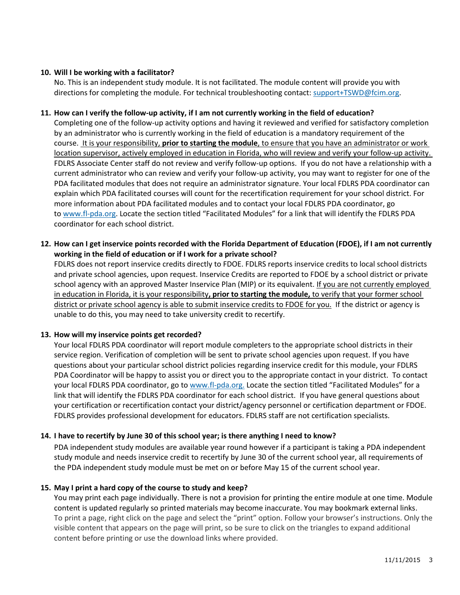#### **10. Will I be working with a facilitator?**

No. This is an independent study module. It is not facilitated. The module content will provide you with directions for completing the module. For technical troubleshooting contact: [support+TSWD@fcim.org.](mailto:support+TSWD@fcim.org)

#### **11. How can I verify the follow-up activity, if I am not currently working in the field of education?**

Completing one of the follow-up activity options and having it reviewed and verified for satisfactory completion by an administrator who is currently working in the field of education is a mandatory requirement of the course. It is your responsibility, **prior to starting the module**, to ensure that you have an administrator or work location supervisor, actively employed in education in Florida, who will review and verify your follow-up activity. FDLRS Associate Center staff do not review and verify follow-up options. If you do not have a relationship with a current administrator who can review and verify your follow-up activity, you may want to register for one of the PDA facilitated modules that does not require an administrator signature. Your local FDLRS PDA coordinator can explain which PDA facilitated courses will count for the recertification requirement for your school district. For more information about PDA facilitated modules and to contact your local FDLRS PDA coordinator, go to [www.fl-pda.org.](http://www.fl-pda.org/) Locate the section titled "Facilitated Modules" for a link that will identify the FDLRS PDA coordinator for each school district.

# **12. How can I get inservice points recorded with the Florida Department of Education (FDOE), if I am not currently working in the field of education or if I work for a private school?**

FDLRS does not report inservice credits directly to FDOE. FDLRS reports inservice credits to local school districts and private school agencies, upon request. Inservice Credits are reported to FDOE by a school district or private school agency with an approved Master Inservice Plan (MIP) or its equivalent. If you are not currently employed in education in Florida, it is your responsibility**, prior to starting the module,** to verify that your former school district or private school agency is able to submit inservice credits to FDOE for you. If the district or agency is unable to do this, you may need to take university credit to recertify.

#### **13. How will my inservice points get recorded?**

Your local FDLRS PDA coordinator will report module completers to the appropriate school districts in their service region. Verification of completion will be sent to private school agencies upon request. If you have questions about your particular school district policies regarding inservice credit for this module, your FDLRS PDA Coordinator will be happy to assist you or direct you to the appropriate contact in your district. To contact your local FDLRS PDA coordinator, go to [www.fl-pda.org.](http://www.fl-pda.org/) Locate the section titled "Facilitated Modules" for a link that will identify the FDLRS PDA coordinator for each school district. If you have general questions about your certification or recertification contact your district/agency personnel or certification department or FDOE. FDLRS provides professional development for educators. FDLRS staff are not certification specialists.

# **14. I have to recertify by June 30 of this school year; is there anything I need to know?**

PDA independent study modules are available year round however if a participant is taking a PDA independent study module and needs inservice credit to recertify by June 30 of the current school year, all requirements of the PDA independent study module must be met on or before May 15 of the current school year.

#### **15. May I print a hard copy of the course to study and keep?**

You may print each page individually. There is not a provision for printing the entire module at one time. Module content is updated regularly so printed materials may become inaccurate. You may bookmark external links. To print a page, right click on the page and select the "print" option. Follow your browser's instructions. Only the visible content that appears on the page will print, so be sure to click on the triangles to expand additional content before printing or use the download links where provided.